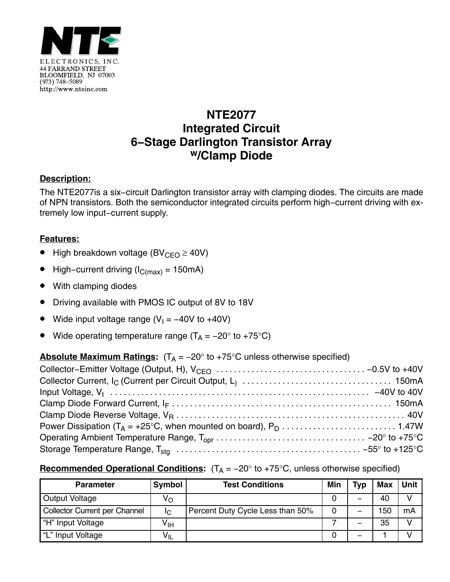

# **NTE2077 Integrated Circuit 6−Stage Darlington Transistor Array w/Clamp Diode**

## **Description:**

The NTE2077is a six−circuit Darlington transistor array with clamping diodes. The circuits are made of NPN transistors. Both the semiconductor integrated circuits perform high−current driving with extremely low input−current supply.

## **Features:**

- High breakdown voltage (BV<sub>CEO</sub>  $\geq$  40V)
- High–current driving ( $I_{C(max)}$  = 150mA)
- With clamping diodes
- Driving available with PMOS IC output of 8V to 18V
- Wide input voltage range ( $V_1 = -40V$  to +40V)
- Wide operating temperature range ( $T_A = -20^\circ$  to +75°C)

#### **Absolute Maximum Ratings:**  $(T_A = -20^\circ \text{ to } +75^\circ \text{C}$  unless otherwise specified)

#### **Recommended Operational Conditions:**  $(T_A = -20^\circ$  to +75°C, unless otherwise specified)

| <b>Parameter</b>                     | <b>Symbol</b> | <b>Test Conditions</b>           | Min | Typ | <b>Max</b> | Unit          |
|--------------------------------------|---------------|----------------------------------|-----|-----|------------|---------------|
| Output Voltage                       | Vo            |                                  |     | -   | 40         |               |
| <b>Collector Current per Channel</b> | Ιc            | Percent Duty Cycle Less than 50% | 0   | -   | 150        | mA            |
| "H" Input Voltage                    | ۷ін           |                                  |     | -   | 35         | $\mathcal{U}$ |
| "L" Input Voltage                    | $V_{\sf IL}$  |                                  |     | -   |            |               |